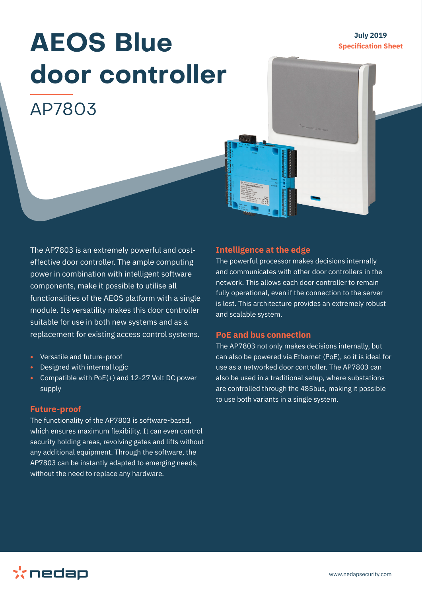### **July 2019 Specification Sheet**

# **AEOS Blue door controller**  AP7803



The AP7803 is an extremely powerful and costeffective door controller. The ample computing power in combination with intelligent software components, make it possible to utilise all functionalities of the AEOS platform with a single module. Its versatility makes this door controller suitable for use in both new systems and as a replacement for existing access control systems.

- **•** Versatile and future-proof
- **•** Designed with internal logic
- **•** Compatible with PoE(+) and 12-27 Volt DC power supply

#### **Future-proof**

The functionality of the AP7803 is software-based, which ensures maximum flexibility. It can even control security holding areas, revolving gates and lifts without any additional equipment. Through the software, the AP7803 can be instantly adapted to emerging needs, without the need to replace any hardware.

#### **Intelligence at the edge**

The powerful processor makes decisions internally and communicates with other door controllers in the network. This allows each door controller to remain fully operational, even if the connection to the server is lost. This architecture provides an extremely robust and scalable system.

#### **PoE and bus connection**

The AP7803 not only makes decisions internally, but can also be powered via Ethernet (PoE), so it is ideal for use as a networked door controller. The AP7803 can also be used in a traditional setup, where substations are controlled through the 485bus, making it possible to use both variants in a single system.